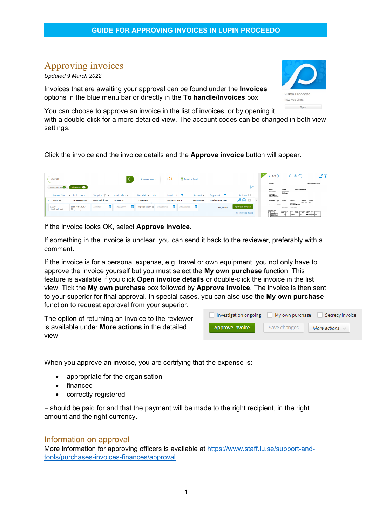# Approving invoices

*Updated 9 March 2022*

Invoices that are awaiting your approval can be found under the **Invoices** options in the blue menu bar or directly in the **To handle/Invoices** box.



woice

You can choose to approve an invoice in the list of invoices, or by opening it with a double-click for a more detailed view. The account codes can be changed in both view settings.

Click the invoice and the invoice details and the **Approve invoice** button will appear.

|    | 1763766                  |                       |                                                             |              | Advanced search       | $\Box$<br>Export to Excel                                                     |               |                          |                              | $\ket{\Sigma}$<br>$\langle 1/1 \rangle$                                         |                                                                                                                                                                                                          | QQ                                                | <b>M</b> O                        |
|----|--------------------------|-----------------------|-------------------------------------------------------------|--------------|-----------------------|-------------------------------------------------------------------------------|---------------|--------------------------|------------------------------|---------------------------------------------------------------------------------|----------------------------------------------------------------------------------------------------------------------------------------------------------------------------------------------------------|---------------------------------------------------|-----------------------------------|
|    | New invoices @           | All invoices          |                                                             |              |                       |                                                                               |               |                          | 榊                            | Faktura<br>SHiara                                                               | Köpare                                                                                                                                                                                                   | Fakturameddelande                                 | Fakturanummer 1763766             |
|    | Invoice Num > References |                       | Supplier $\overline{\mathbb{Y}}$ $\vee$ Invoice date $\vee$ |              | Due date $\sim$ Info  | Invoice st $\top$                                                             | Amount $\sim$ | Organisat Y              | Actions <b>D</b>             | <b>Standard Heat</b><br>(Bill Joseph H.<br>Roger (Minister)<br>Roger (Minister) | <b>MARINE</b><br><b>SHEWAGE</b>                                                                                                                                                                          |                                                   |                                   |
| v. | 1763766                  | SESI144404383         | Diners Club Sw                                              | 2018-09-28   | 2018-10-29            | Approval not p                                                                | 1 605,00 SEK  | <b>Lunds universitet</b> | $\mathscr{O} \oplus \square$ |                                                                                 | 22,503,000<br><b>Sentimeters</b><br><b>Stradegy</b><br><b>jon</b><br><b><i>University department stage</i></b><br><b>Revenue Case only</b><br><b>Researches Monday</b><br>presentation<br><b>ANTHONY</b> |                                                   | <b>Discount votes</b><br>105613-0 |
|    | 57320<br>Hotell och logi | 809940.91.1017<br>53  | 局<br>Funktion                                               | Tillgång/Fin | 局<br>Hypergene anv dr | $\overline{\mathbf{B}}$ Intrastatkod $\overline{\mathbf{B}}$<br>Intrastatinfo |               | 1 430,71 SEK             | Approve invoice              |                                                                                 |                                                                                                                                                                                                          |                                                   |                                   |
|    |                          | Production of the an- |                                                             |              |                       |                                                                               |               |                          | > Open invoice details       |                                                                                 | <b>Execute Disea</b>                                                                                                                                                                                     | cent passe or part of the past<br><b>MARY REA</b> | exercises procedures.             |

If the invoice looks OK, select **Approve invoice.** 

If something in the invoice is unclear, you can send it back to the reviewer, preferably with a comment.

If the invoice is for a personal expense, e.g. travel or own equipment, you not only have to approve the invoice yourself but you must select the **My own purchase** function. This feature is available if you click **Open invoice details** or double-click the invoice in the list view. Tick the **My own purchase** box followed by **Approve invoice**. The invoice is then sent to your superior for final approval. In special cases, you can also use the **My own purchase** function to request approval from your superior.

| The option of returning an invoice to the reviewer     | Investigation ongoing | My own purchase<br>Secrecy i |              |  |
|--------------------------------------------------------|-----------------------|------------------------------|--------------|--|
| is available under <b>More actions</b> in the detailed | Approve invoice       | Save changes                 | More actions |  |
| <b>VIEW</b>                                            |                       |                              |              |  |

When you approve an invoice, you are certifying that the expense is:

- appropriate for the organisation
- financed
- correctly registered

= should be paid for and that the payment will be made to the right recipient, in the right amount and the right currency.

### Information on approval

More information for approving officers is available at [https://www.staff.lu.se/support-and](https://www.staff.lu.se/support-and-tools/purchases-invoices-finances/approval)[tools/purchases-invoices-finances/approval.](https://www.staff.lu.se/support-and-tools/purchases-invoices-finances/approval)